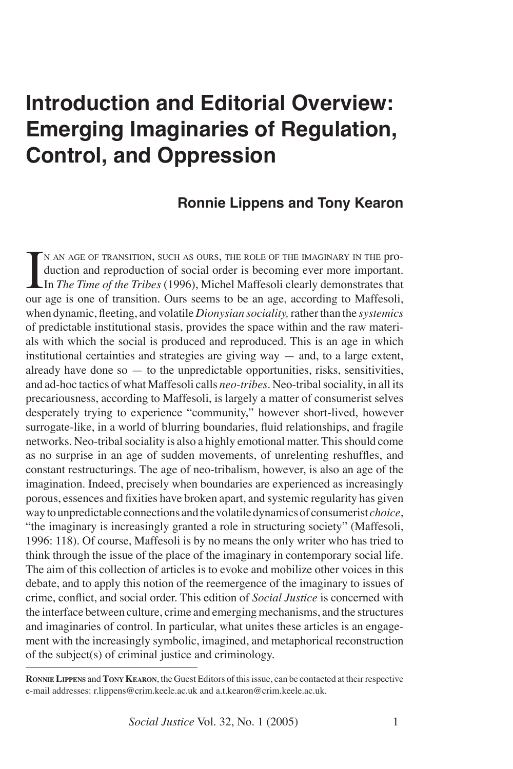## **Introduction and Editorial Overview: Emerging Imaginaries of Regulation, Control, and Oppression**

## **Ronnie Lippens and Tony Kearon**

IN AN AGE OF TRANSITION, SUCH AS OURS, THE ROLE OF THE IMAGINARY IN THE production and reproduction of social order is becoming ever more important.<br>In *The Time of the Tribes* (1996), Michel Maffesoli clearly demonstrates <sup>n</sup> an age of transition, such as ours, the role of the imaginary in the production and reproduction of social order is becoming ever more important. In *The Time of the Tribes* (1996), Michel Maffesoli clearly demonstrates that when dynamic, fleeting, and volatile *Dionysian sociality,*rather than the *systemics* of predictable institutional stasis, provides the space within and the raw materials with which the social is produced and reproduced. This is an age in which institutional certainties and strategies are giving way — and, to a large extent, already have done so  $-$  to the unpredictable opportunities, risks, sensitivities, and ad-hoc tactics of what Maffesoli calls *neo-tribes*. Neo-tribal sociality, in all its precariousness, according to Maffesoli, is largely a matter of consumerist selves desperately trying to experience "community," however short-lived, however surrogate-like, in a world of blurring boundaries, fluid relationships, and fragile networks. Neo-tribal sociality is also a highly emotional matter. This should come as no surprise in an age of sudden movements, of unrelenting reshuffles, and constant restructurings. The age of neo-tribalism, however, is also an age of the imagination. Indeed, precisely when boundaries are experienced as increasingly porous, essences and fixities have broken apart, and systemic regularity has given way to unpredictable connections and the volatile dynamics of consumerist *choice*, "the imaginary is increasingly granted a role in structuring society" (Maffesoli, 1996: 118). Of course, Maffesoli is by no means the only writer who has tried to think through the issue of the place of the imaginary in contemporary social life. The aim of this collection of articles is to evoke and mobilize other voices in this debate, and to apply this notion of the reemergence of the imaginary to issues of crime, conflict, and social order. This edition of *Social Justice* is concerned with the interface between culture, crime and emerging mechanisms, and the structures and imaginaries of control. In particular, what unites these articles is an engagement with the increasingly symbolic, imagined, and metaphorical reconstruction of the subject(s) of criminal justice and criminology.

**Ronnie Lippens** and **Tony Kearon**, the Guest Editors of this issue, can be contacted at their respective e-mail addresses: r.lippens@crim.keele.ac.uk and a.t.kearon@crim.keele.ac.uk.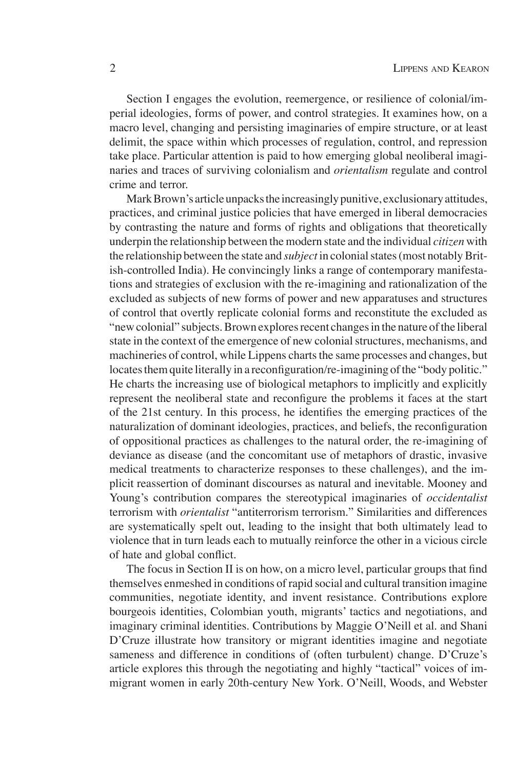Section I engages the evolution, reemergence, or resilience of colonial/imperial ideologies, forms of power, and control strategies. It examines how, on a macro level, changing and persisting imaginaries of empire structure, or at least delimit, the space within which processes of regulation, control, and repression take place. Particular attention is paid to how emerging global neoliberal imaginaries and traces of surviving colonialism and *orientalism* regulate and control crime and terror.

Mark Brown's article unpacks the increasingly punitive, exclusionary attitudes, practices, and criminal justice policies that have emerged in liberal democracies by contrasting the nature and forms of rights and obligations that theoretically underpin the relationship between the modern state and the individual *citizen* with the relationship between the state and *subject* in colonial states (most notably British-controlled India). He convincingly links a range of contemporary manifestations and strategies of exclusion with the re-imagining and rationalization of the excluded as subjects of new forms of power and new apparatuses and structures of control that overtly replicate colonial forms and reconstitute the excluded as "new colonial" subjects. Brown explores recent changes in the nature of the liberal state in the context of the emergence of new colonial structures, mechanisms, and machineries of control, while Lippens charts the same processes and changes, but locates them quite literally in a reconfiguration/re-imagining of the "body politic." He charts the increasing use of biological metaphors to implicitly and explicitly represent the neoliberal state and reconfigure the problems it faces at the start of the 21st century. In this process, he identifies the emerging practices of the naturalization of dominant ideologies, practices, and beliefs, the reconfiguration of oppositional practices as challenges to the natural order, the re-imagining of deviance as disease (and the concomitant use of metaphors of drastic, invasive medical treatments to characterize responses to these challenges), and the implicit reassertion of dominant discourses as natural and inevitable. Mooney and Young's contribution compares the stereotypical imaginaries of *occidentalist* terrorism with *orientalist* "antiterrorism terrorism." Similarities and differences are systematically spelt out, leading to the insight that both ultimately lead to violence that in turn leads each to mutually reinforce the other in a vicious circle of hate and global conflict.

The focus in Section II is on how, on a micro level, particular groups that find themselves enmeshed in conditions of rapid social and cultural transition imagine communities, negotiate identity, and invent resistance. Contributions explore bourgeois identities, Colombian youth, migrants' tactics and negotiations, and imaginary criminal identities. Contributions by Maggie O'Neill et al. and Shani D'Cruze illustrate how transitory or migrant identities imagine and negotiate sameness and difference in conditions of (often turbulent) change. D'Cruze's article explores this through the negotiating and highly "tactical" voices of immigrant women in early 20th-century New York. O'Neill, Woods, and Webster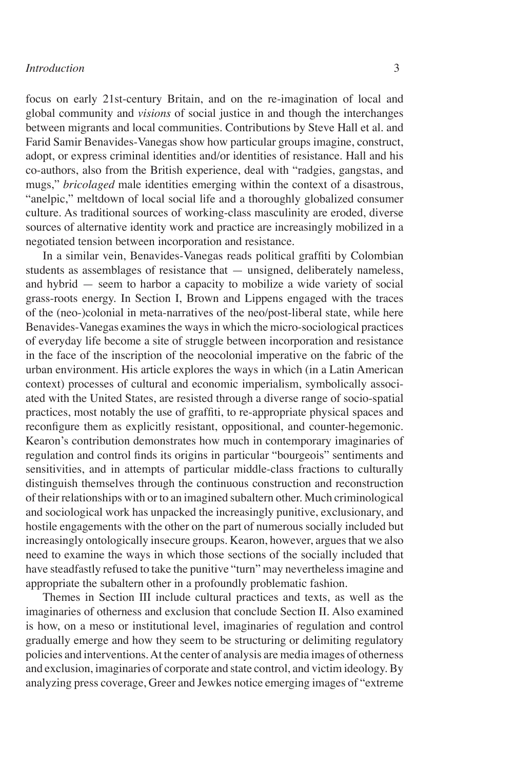## *Introduction*

focus on early 21st-century Britain, and on the re-imagination of local and global community and *visions* of social justice in and though the interchanges between migrants and local communities. Contributions by Steve Hall et al. and Farid Samir Benavides-Vanegas show how particular groups imagine, construct, adopt, or express criminal identities and/or identities of resistance. Hall and his co-authors, also from the British experience, deal with "radgies, gangstas, and mugs," *bricolaged* male identities emerging within the context of a disastrous, "anelpic," meltdown of local social life and a thoroughly globalized consumer culture. As traditional sources of working-class masculinity are eroded, diverse sources of alternative identity work and practice are increasingly mobilized in a negotiated tension between incorporation and resistance.

In a similar vein, Benavides-Vanegas reads political graffiti by Colombian students as assemblages of resistance that — unsigned, deliberately nameless, and hybrid — seem to harbor a capacity to mobilize a wide variety of social grass-roots energy. In Section I, Brown and Lippens engaged with the traces of the (neo-)colonial in meta-narratives of the neo/post-liberal state, while here Benavides-Vanegas examines the ways in which the micro-sociological practices of everyday life become a site of struggle between incorporation and resistance in the face of the inscription of the neocolonial imperative on the fabric of the urban environment. His article explores the ways in which (in a Latin American context) processes of cultural and economic imperialism, symbolically associated with the United States, are resisted through a diverse range of socio-spatial practices, most notably the use of graffiti, to re-appropriate physical spaces and reconfigure them as explicitly resistant, oppositional, and counter-hegemonic. Kearon's contribution demonstrates how much in contemporary imaginaries of regulation and control finds its origins in particular "bourgeois" sentiments and sensitivities, and in attempts of particular middle-class fractions to culturally distinguish themselves through the continuous construction and reconstruction of their relationships with or to an imagined subaltern other. Much criminological and sociological work has unpacked the increasingly punitive, exclusionary, and hostile engagements with the other on the part of numerous socially included but increasingly ontologically insecure groups. Kearon, however, argues that we also need to examine the ways in which those sections of the socially included that have steadfastly refused to take the punitive "turn" may nevertheless imagine and appropriate the subaltern other in a profoundly problematic fashion.

Themes in Section III include cultural practices and texts, as well as the imaginaries of otherness and exclusion that conclude Section II. Also examined is how, on a meso or institutional level, imaginaries of regulation and control gradually emerge and how they seem to be structuring or delimiting regulatory policies and interventions. At the center of analysis are media images of otherness and exclusion, imaginaries of corporate and state control, and victim ideology. By analyzing press coverage, Greer and Jewkes notice emerging images of "extreme